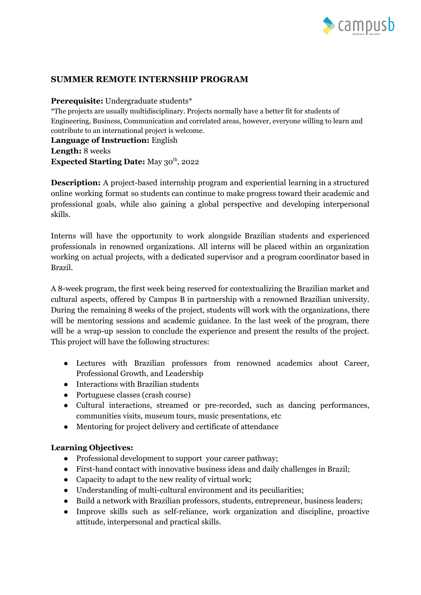

## **SUMMER REMOTE INTERNSHIP PROGRAM**

#### **Prerequisite:** Undergraduate students\*

\*The projects are usually multidisciplinary. Projects normally have a better fit for students of Engineering, Business, Communication and correlated areas, however, everyone willing to learn and contribute to an international project is welcome.

**Language of Instruction:** English **Length:** 8 weeks **Expected Starting Date:** May 30 th , 2022

**Description:** A project-based internship program and experiential learning in a structured online working format so students can continue to make progress toward their academic and professional goals, while also gaining a global perspective and developing interpersonal skills.

Interns will have the opportunity to work alongside Brazilian students and experienced professionals in renowned organizations. All interns will be placed within an organization working on actual projects, with a dedicated supervisor and a program coordinator based in Brazil.

A 8-week program, the first week being reserved for contextualizing the Brazilian market and cultural aspects, offered by Campus B in partnership with a renowned Brazilian university. During the remaining 8 weeks of the project, students will work with the organizations, there will be mentoring sessions and academic guidance. In the last week of the program, there will be a wrap-up session to conclude the experience and present the results of the project. This project will have the following structures:

- Lectures with Brazilian professors from renowned academics about Career, Professional Growth, and Leadership
- Interactions with Brazilian students
- Portuguese classes (crash course)
- Cultural interactions, streamed or pre-recorded, such as dancing performances, communities visits, museum tours, music presentations, etc
- Mentoring for project delivery and certificate of attendance

### **Learning Objectives:**

- Professional development to support your career pathway;
- First-hand contact with innovative business ideas and daily challenges in Brazil;
- Capacity to adapt to the new reality of virtual work;
- Understanding of multi-cultural environment and its peculiarities;
- Build a network with Brazilian professors, students, entrepreneur, business leaders;
- Improve skills such as self-reliance, work organization and discipline, proactive attitude, interpersonal and practical skills.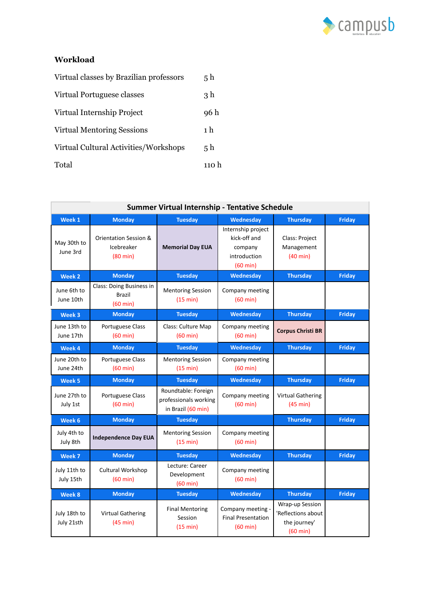

# **Workload**

| Virtual classes by Brazilian professors | 5 h   |
|-----------------------------------------|-------|
| Virtual Portuguese classes              | 3 h   |
| Virtual Internship Project              | 96 h  |
| <b>Virtual Mentoring Sessions</b>       | 1 h   |
| Virtual Cultural Activities/Workshops   | 5 h   |
| Total                                   | 110 h |

| Summer Virtual Internship - Tentative Schedule |                                                                      |                                                                    |                                                                                     |                                                                             |               |  |
|------------------------------------------------|----------------------------------------------------------------------|--------------------------------------------------------------------|-------------------------------------------------------------------------------------|-----------------------------------------------------------------------------|---------------|--|
| Week 1                                         | <b>Monday</b>                                                        | <b>Tuesday</b>                                                     | Wednesday                                                                           | <b>Thursday</b>                                                             | <b>Friday</b> |  |
| May 30th to<br>June 3rd                        | <b>Orientation Session &amp;</b><br>Icebreaker<br>$(80 \text{ min})$ | <b>Memorial Day EUA</b>                                            | Internship project<br>kick-off and<br>company<br>introduction<br>$(60 \text{ min})$ | Class: Project<br>Management<br>$(40 \text{ min})$                          |               |  |
| Week 2                                         | <b>Monday</b>                                                        | <b>Tuesday</b>                                                     | Wednesday                                                                           | <b>Thursday</b>                                                             | <b>Friday</b> |  |
| June 6th to<br>June 10th                       | Class: Doing Business in<br><b>Brazil</b><br>$(60 \text{ min})$      | <b>Mentoring Session</b><br>(15 min)                               | Company meeting<br>$(60 \text{ min})$                                               |                                                                             |               |  |
| Week 3                                         | <b>Monday</b>                                                        | <b>Tuesday</b>                                                     | Wednesday                                                                           | <b>Thursday</b>                                                             | <b>Friday</b> |  |
| June 13th to<br>June 17th                      | Portuguese Class<br>$(60 \text{ min})$                               | Class: Culture Map<br>$(60 \text{ min})$                           | Company meeting<br>$(60 \text{ min})$                                               | <b>Corpus Christi BR</b>                                                    |               |  |
| Week 4                                         | <b>Monday</b>                                                        | <b>Tuesday</b>                                                     | Wednesday                                                                           | <b>Thursday</b>                                                             | <b>Friday</b> |  |
| June 20th to<br>June 24th                      | Portuguese Class<br>$(60 \text{ min})$                               | <b>Mentoring Session</b><br>(15 min)                               | Company meeting<br>$(60 \text{ min})$                                               |                                                                             |               |  |
| Week 5                                         | <b>Monday</b>                                                        | <b>Tuesday</b>                                                     | Wednesday                                                                           | <b>Thursday</b>                                                             | <b>Friday</b> |  |
| June 27th to<br>July 1st                       | Portuguese Class<br>$(60 \text{ min})$                               | Roundtable: Foreign<br>professionals working<br>in Brazil (60 min) | Company meeting<br>$(60 \text{ min})$                                               | <b>Virtual Gathering</b><br>(45 min)                                        |               |  |
| Week 6                                         | <b>Monday</b>                                                        | <b>Tuesday</b>                                                     |                                                                                     | <b>Thursday</b>                                                             | <b>Friday</b> |  |
| July 4th to<br>July 8th                        | <b>Independence Day EUA</b>                                          | <b>Mentoring Session</b><br>(15 min)                               | Company meeting<br>$(60 \text{ min})$                                               |                                                                             |               |  |
| Week 7                                         | <b>Monday</b>                                                        | <b>Tuesday</b>                                                     | Wednesday                                                                           | <b>Thursday</b>                                                             | <b>Friday</b> |  |
| July 11th to<br>July 15th                      | <b>Cultural Workshop</b><br>$(60 \text{ min})$                       | Lecture: Career<br>Development<br>$(60 \text{ min})$               | Company meeting<br>$(60 \text{ min})$                                               |                                                                             |               |  |
| Week 8                                         | <b>Monday</b>                                                        | <b>Tuesday</b>                                                     | Wednesday                                                                           | <b>Thursday</b>                                                             | <b>Friday</b> |  |
| July 18th to<br>July 21sth                     | <b>Virtual Gathering</b><br>(45 min)                                 | <b>Final Mentoring</b><br>Session<br>(15 min)                      | Company meeting -<br><b>Final Presentation</b><br>$(60 \text{ min})$                | Wrap-up Session<br>'Reflections about<br>the journey'<br>$(60 \text{ min})$ |               |  |